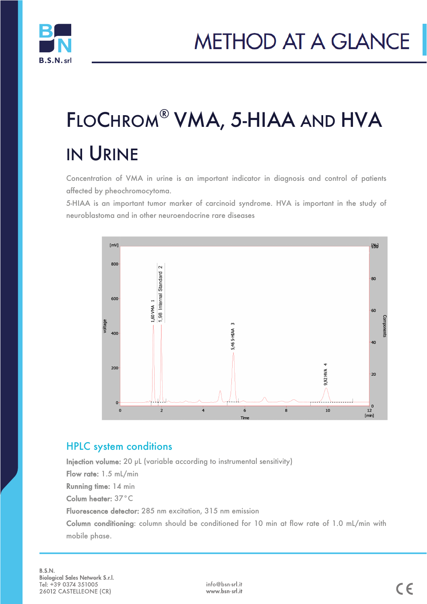

# FLOCHROM® VMA, 5-HIAA AND HVA IN URINE

Concentration of VMA in urine is an important indicator in diagnosis and control of patients affected by pheochromocytoma.

5-HIAA is an important tumor marker of carcinoid syndrome. HVA is important in the study of neuroblastoma and in other neuroendocrine rare diseases



### HPLC system conditions

Injection volume: 20 µL (variable according to instrumental sensitivity) Flow rate: 1.5 mL/min Running time: 14 min Colum heater: 37°C Fluorescence detector: 285 nm excitation, 315 nm emission Column conditioning: column should be conditioned for 10 min at flow rate of 1.0 mL/min with mobile phase.